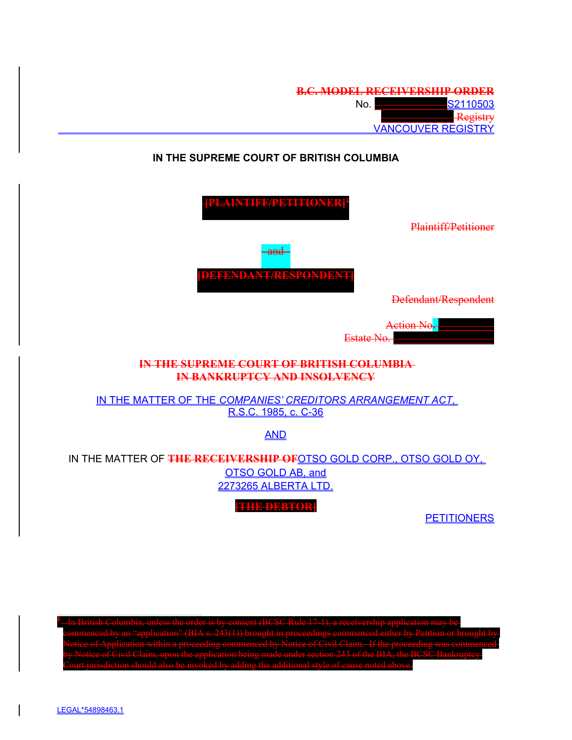|    | <b>B.C. MODEL RECEIVERSHIP ORDER</b> |
|----|--------------------------------------|
| N٥ | <b>S2110503</b>                      |
|    | $P$ orietry<br><del>Regiou y</del>   |
|    | <b>VANCOUVER REGISTRY</b>            |

# **IN THE SUPREME COURT OF BRITISH COLUMBIA**

| Plaintiff/Petitioner                                                                                                    |  |  |
|-------------------------------------------------------------------------------------------------------------------------|--|--|
| and<br>A NT/DIRSDONINE<br>Defendant/Respondent                                                                          |  |  |
| Estate No                                                                                                               |  |  |
| THE SUPREME COURT OF BRITISH COLUMBIA<br><b>IN BANKRUPTCY AND INSOLVENCY</b>                                            |  |  |
| IN THE MATTER OF THE COMPANIES' CREDITORS ARRANGEMENT ACT.<br>R.S.C. 1985, c. C-36                                      |  |  |
| <b>AND</b>                                                                                                              |  |  |
| IN THE MATTER OF THE RECEIVERSHIP OF OTSO GOLD CORP., OTSO GOLD OY,<br><b>OTSO GOLD AB, and</b><br>2273265 ALBERTA LTD. |  |  |
| <b>LIF MERTA</b><br><b>PETITIONERS</b>                                                                                  |  |  |

 In British Columbia, unless the order is by consent (BCSC Rule 17-1), a receivership application may be commenced by an "application" (BIA s. 243(1)) brought in proceedings commenced either by Petition or brought by 1 Claim. If the proceeding was comme<br>243 of the BIA, the BCSC Bankruntev by Notice of Ci ann<del>, upon the appheation being mate untier st</del><br>suld also be invoked by adding the additional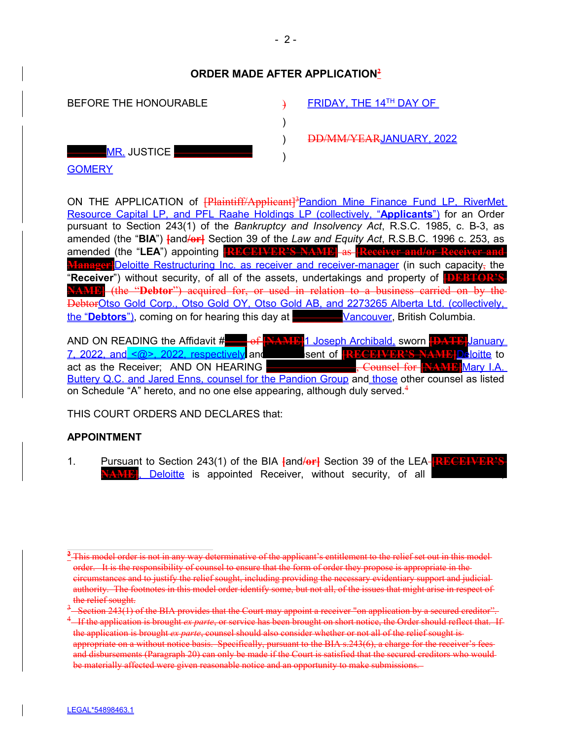## **ORDER MADE AFTER APPLICATION<sup>2</sup>**

 $\rightarrow$ )  $\lambda$  $\lambda$ 

| BEFORE THE HONOURABLE |  |
|-----------------------|--|
|                       |  |
| <u>–MR.</u> JUSTICE   |  |
| <b>GOMERY</b>         |  |

FRIDAY, THE 14TH DAY OF

DD/MM/YEARJANUARY, 2022

ON THE APPLICATION of **Plaintiff/Applicant**]<sup>3</sup> Pandion Mine Finance Fund LP, RiverMet Resource Capital LP, and PFL Raahe Holdings LP (collectively, "**Applicants**") for an Order pursuant to Section 243(1) of the *Bankruptcy and Insolvency Act*, R.S.C. 1985, c. B-3, as amended (the "**BIA**") **[**and**/or]** Section 39 of the *Law and Equity Act*, R.S.B.C. 1996 c. 253, as amended (the "LEA") appointing **[RECEIVER'S NAME]** as **[Receiver Manager** Deloitte Restructuring Inc. as receiver and receiver-manager (in such capacity, the "**Receiver**") without security, of all of the assets, undertakings and property of **[DEBTOR'S M.P.** (the "Debtor") acquired for, or used in relation to a business carried on by the DebtorOtso Gold Corp., Otso Gold OY, Otso Gold AB, and 2273265 Alberta Ltd. (collectively, the "**Debtors**"), coming on for hearing this day at **\_\_\_\_\_\_\_\_\_**Vancouver, British Columbia.

AND ON READING the Affidavit #**\_\_\_\_** of **[NAME]**1 Joseph Archibald, sworn **[DATE]**January 7, 2022, and <@>, 2022, respectively and the sent of **[RECEIVER'S NAME]Deloitte** to act as the Receiver; AND ON HEARING **\_\_\_\_\_\_\_\_\_\_\_\_\_\_\_\_**, Counsel for **[NAME]**Mary I.A. Buttery Q.C. and Jared Enns, counsel for the Pandion Group and those other counsel as listed on Schedule "A" hereto, and no one else appearing, although duly served.<sup>4</sup>

THIS COURT ORDERS AND DECLARES that:

### **APPOINTMENT**

1. Pursuant to Section 243(1) of the BIA **[**and**/or]** Section 39 of the LEA **[RECEIVER'S NAME**, Deloitte is appointed Receiver, without security, of all

**<sup>2</sup>** This model order is not in any way determinative of the applicant's entitlement to the relief set out in this model order. It is the responsibility of counsel to ensure that the form of order they propose is appropriate in the circumstances and to justify the relief sought, including providing the necessary evidentiary support and judicial authority. The footnotes in this model order identify some, but not all, of the issues that might arise in respect of the relief sought.

<sup>3</sup> Section 243(1) of the BIA provides that the Court may appoint a receiver "on application by a secured creditor".

<sup>4</sup> If the application is brought *ex parte*, or service has been brought on short notice, the Order should reflect that. If the application is brought *ex parte*, counsel should also consider whether or not all of the relief sought is appropriate on a without notice basis. Specifically, pursuant to the BIA s.243(6), a charge for the receiver's fees and disbursements (Paragraph 20) can only be made if the Court is satisfied that the secured creditors who would be materially affected were given reasonable notice and an opportunity to make submissions.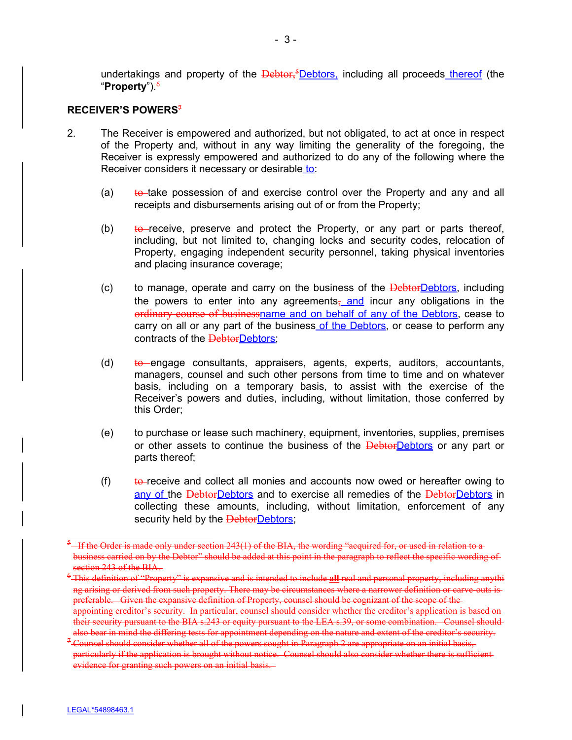undertakings and property of the  $\frac{\text{Debtor}}{\text{s}}$  Debtors, including all proceeds thereof (the "**Property**").<sup>6</sup>

#### **RECEIVER'S POWERS<sup>7</sup>**

- 2. The Receiver is empowered and authorized, but not obligated, to act at once in respect of the Property and, without in any way limiting the generality of the foregoing, the Receiver is expressly empowered and authorized to do any of the following where the Receiver considers it necessary or desirable to:
	- (a)  $\theta$  to take possession of and exercise control over the Property and any and all receipts and disbursements arising out of or from the Property;
	- (b)  $\star$  to receive, preserve and protect the Property, or any part or parts thereof, including, but not limited to, changing locks and security codes, relocation of Property, engaging independent security personnel, taking physical inventories and placing insurance coverage;
	- (c) to manage, operate and carry on the business of the  $\frac{\text{Debtor}}{\text{Debtor}}$ , including the powers to enter into any agreements $\frac{1}{2}$  and incur any obligations in the ordinary course of businessname and on behalf of any of the Debtors, cease to carry on all or any part of the business of the Debtors, or cease to perform any contracts of the DebtorDebtors;
	- (d)  $\theta$  to engage consultants, appraisers, agents, experts, auditors, accountants, managers, counsel and such other persons from time to time and on whatever basis, including on a temporary basis, to assist with the exercise of the Receiver's powers and duties, including, without limitation, those conferred by this Order;
	- (e) to purchase or lease such machinery, equipment, inventories, supplies, premises or other assets to continue the business of the DebtorDebtors or any part or parts thereof;
	- (f) to receive and collect all monies and accounts now owed or hereafter owing to any of the DebtorDebtors and to exercise all remedies of the DebtorDebtors in collecting these amounts, including, without limitation, enforcement of any security held by the **DebtorDebtors**;

 $^{5}$  – If the Order is made only under section 243(1) of the BIA, the wording "acquired for, or used in relation to a business carried on by the Debtor" should be added at this point in the paragraph to reflect the specific wording of section 243 of the BIA.

<sup>6</sup> This definition of "Property" is expansive and is intended to include **all** real and personal property, including anythi ng arising or derived from such property. There may be circumstances where a narrower definition or carve-outs is preferable. Given the expansive definition of Property, counsel should be cognizant of the scope of the appointing creditor's security. In particular, counsel should consider whether the creditor's application is based on their security pursuant to the BIA s.243 or equity pursuant to the LEA s.39, or some combination. Counsel should

also bear in mind the differing tests for appointment depending on the nature and extent of the creditor's security. <sup>7</sup> Counsel should consider whether all of the powers sought in Paragraph 2 are appropriate on an initial basis, particularly if the application is brought without notice. Counsel should also consider whether there is sufficient evidence for granting such powers on an initial basis.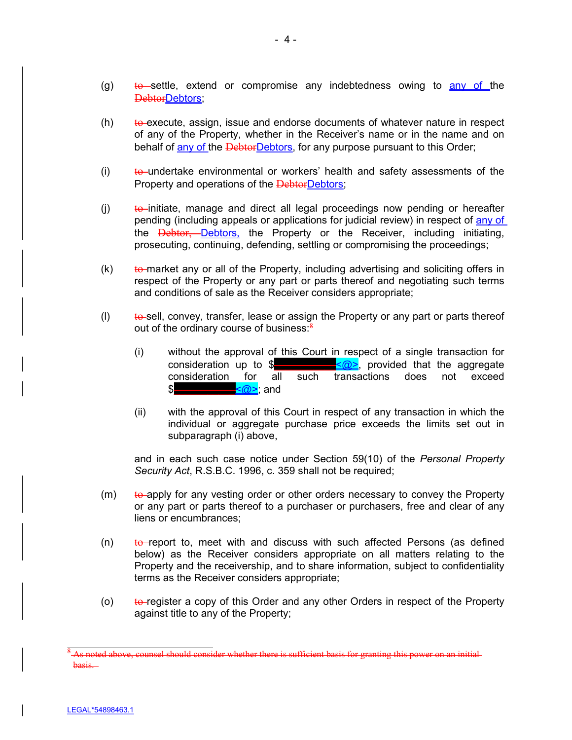- (g)  $\qquad$  to settle, extend or compromise any indebtedness owing to any of the DebtorDebtors;
- $(h)$  to execute, assign, issue and endorse documents of whatever nature in respect of any of the Property, whether in the Receiver's name or in the name and on behalf of any of the DebtorDebtors, for any purpose pursuant to this Order;
- (i)  $t_{\theta}$  undertake environmental or workers' health and safety assessments of the Property and operations of the DebtorDebtors;
- $(i)$  to initiate, manage and direct all legal proceedings now pending or hereafter pending (including appeals or applications for judicial review) in respect of any of the **Debtor, Debtors**, the Property or the Receiver, including initiating, prosecuting, continuing, defending, settling or compromising the proceedings;
- $(k)$  to market any or all of the Property, including advertising and soliciting offers in respect of the Property or any part or parts thereof and negotiating such terms and conditions of sale as the Receiver considers appropriate;
- $\mu$ ) to sell, convey, transfer, lease or assign the Property or any part or parts thereof out of the ordinary course of business:<sup>8</sup>
	- (i) without the approval of this Court in respect of a single transaction for consideration up to \$**\_\_\_\_\_\_\_\_\_\_\_**<@>, provided that the aggregate consideration for all such transactions does not exceed **\_\_<**@>: and
	- (ii) with the approval of this Court in respect of any transaction in which the individual or aggregate purchase price exceeds the limits set out in subparagraph (i) above,

and in each such case notice under Section 59(10) of the *Personal Property Security Act*, R.S.B.C. 1996, c. 359 shall not be required;

- $(m)$  to apply for any vesting order or other orders necessary to convey the Property or any part or parts thereof to a purchaser or purchasers, free and clear of any liens or encumbrances;
- $(n)$  to report to, meet with and discuss with such affected Persons (as defined below) as the Receiver considers appropriate on all matters relating to the Property and the receivership, and to share information, subject to confidentiality terms as the Receiver considers appropriate;
- (o)  $\qquad$  to register a copy of this Order and any other Orders in respect of the Property against title to any of the Property;

 $^8$ -As noted above, counsel should consider whether there is sufficient basis for granting this power on an initial basis.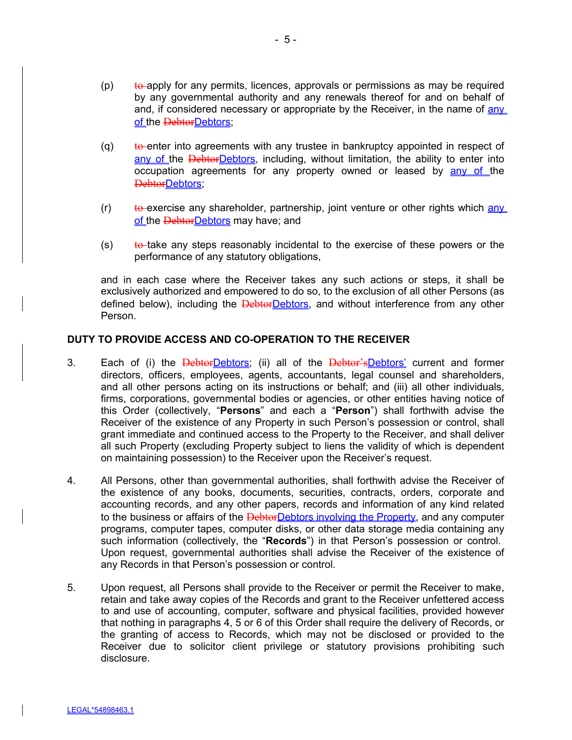- $(p)$  to apply for any permits, licences, approvals or permissions as may be required by any governmental authority and any renewals thereof for and on behalf of and, if considered necessary or appropriate by the Receiver, in the name of any of the DebtorDebtors;
- $(q)$  to enter into agreements with any trustee in bankruptcy appointed in respect of any of the DebtorDebtors, including, without limitation, the ability to enter into occupation agreements for any property owned or leased by any of the DebtorDebtors;
- $(r)$  to exercise any shareholder, partnership, joint venture or other rights which any of the DebtorDebtors may have; and
- $(s)$  to take any steps reasonably incidental to the exercise of these powers or the performance of any statutory obligations,

and in each case where the Receiver takes any such actions or steps, it shall be exclusively authorized and empowered to do so, to the exclusion of all other Persons (as defined below), including the **DebtorDebtors**, and without interference from any other Person.

### **DUTY TO PROVIDE ACCESS AND CO-OPERATION TO THE RECEIVER**

- 3. Each of (i) the DebtorDebtors; (ii) all of the Debtor's Debtors' current and former directors, officers, employees, agents, accountants, legal counsel and shareholders, and all other persons acting on its instructions or behalf; and (iii) all other individuals, firms, corporations, governmental bodies or agencies, or other entities having notice of this Order (collectively, "**Persons**" and each a "**Person**") shall forthwith advise the Receiver of the existence of any Property in such Person's possession or control, shall grant immediate and continued access to the Property to the Receiver, and shall deliver all such Property (excluding Property subject to liens the validity of which is dependent on maintaining possession) to the Receiver upon the Receiver's request.
- 4. All Persons, other than governmental authorities, shall forthwith advise the Receiver of the existence of any books, documents, securities, contracts, orders, corporate and accounting records, and any other papers, records and information of any kind related to the business or affairs of the **DebtorDebtors involving the Property**, and any computer programs, computer tapes, computer disks, or other data storage media containing any such information (collectively, the "**Records**") in that Person's possession or control. Upon request, governmental authorities shall advise the Receiver of the existence of any Records in that Person's possession or control.
- 5. Upon request, all Persons shall provide to the Receiver or permit the Receiver to make, retain and take away copies of the Records and grant to the Receiver unfettered access to and use of accounting, computer, software and physical facilities, provided however that nothing in paragraphs 4, 5 or 6 of this Order shall require the delivery of Records, or the granting of access to Records, which may not be disclosed or provided to the Receiver due to solicitor client privilege or statutory provisions prohibiting such disclosure.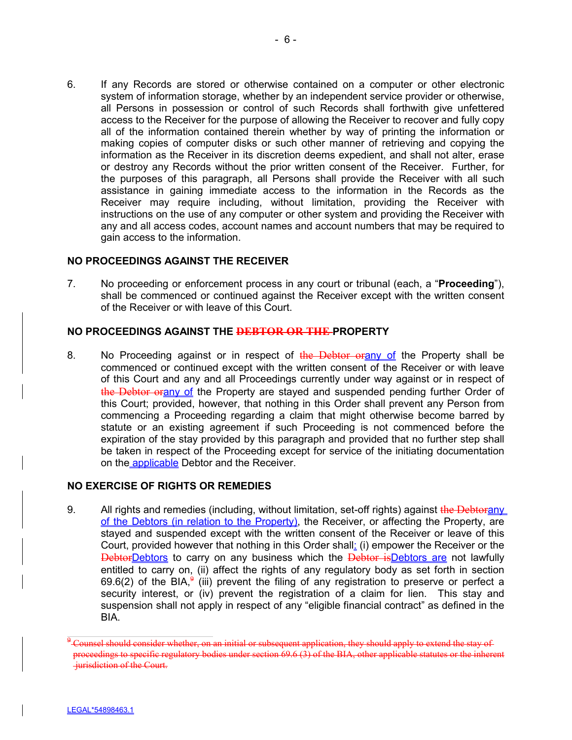6. If any Records are stored or otherwise contained on a computer or other electronic system of information storage, whether by an independent service provider or otherwise, all Persons in possession or control of such Records shall forthwith give unfettered access to the Receiver for the purpose of allowing the Receiver to recover and fully copy all of the information contained therein whether by way of printing the information or making copies of computer disks or such other manner of retrieving and copying the information as the Receiver in its discretion deems expedient, and shall not alter, erase or destroy any Records without the prior written consent of the Receiver. Further, for the purposes of this paragraph, all Persons shall provide the Receiver with all such assistance in gaining immediate access to the information in the Records as the Receiver may require including, without limitation, providing the Receiver with instructions on the use of any computer or other system and providing the Receiver with any and all access codes, account names and account numbers that may be required to gain access to the information.

#### **NO PROCEEDINGS AGAINST THE RECEIVER**

7. No proceeding or enforcement process in any court or tribunal (each, a "**Proceeding**"), shall be commenced or continued against the Receiver except with the written consent of the Receiver or with leave of this Court.

#### **NO PROCEEDINGS AGAINST THE DEBTOR OR THE PROPERTY**

8. No Proceeding against or in respect of the Debtor orany of the Property shall be commenced or continued except with the written consent of the Receiver or with leave of this Court and any and all Proceedings currently under way against or in respect of the Debtor orany of the Property are stayed and suspended pending further Order of this Court; provided, however, that nothing in this Order shall prevent any Person from commencing a Proceeding regarding a claim that might otherwise become barred by statute or an existing agreement if such Proceeding is not commenced before the expiration of the stay provided by this paragraph and provided that no further step shall be taken in respect of the Proceeding except for service of the initiating documentation on the applicable Debtor and the Receiver.

#### **NO EXERCISE OF RIGHTS OR REMEDIES**

9. All rights and remedies (including, without limitation, set-off rights) against the Debtorany of the Debtors (in relation to the Property), the Receiver, or affecting the Property, are stayed and suspended except with the written consent of the Receiver or leave of this Court, provided however that nothing in this Order shall: (i) empower the Receiver or the **DebtorDebtors to carry on any business which the Debtor isDebtors are not lawfully** entitled to carry on, (ii) affect the rights of any regulatory body as set forth in section 69.6(2) of the BIA,<sup>9</sup> (iii) prevent the filing of any registration to preserve or perfect a security interest, or (iv) prevent the registration of a claim for lien. This stay and suspension shall not apply in respect of any "eligible financial contract" as defined in the BIA.

 $^9$  Counsel should consider whether, on an initial or subsequent application, they should apply to extend the stay of proceedings to specific regulatory bodies under section  $69.6$  (3) of the BIA, other applicable statutes or jurisdiction of the Court.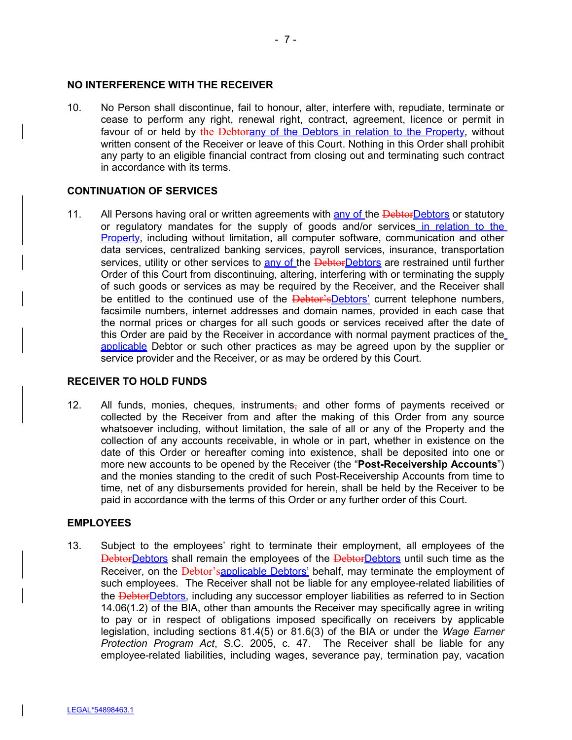#### **NO INTERFERENCE WITH THE RECEIVER**

10. No Person shall discontinue, fail to honour, alter, interfere with, repudiate, terminate or cease to perform any right, renewal right, contract, agreement, licence or permit in favour of or held by the Debtorany of the Debtors in relation to the Property, without written consent of the Receiver or leave of this Court. Nothing in this Order shall prohibit any party to an eligible financial contract from closing out and terminating such contract in accordance with its terms.

#### **CONTINUATION OF SERVICES**

11. All Persons having oral or written agreements with any of the DebtorDebtors or statutory or regulatory mandates for the supply of goods and/or services in relation to the **Property, including without limitation, all computer software, communication and other** data services, centralized banking services, payroll services, insurance, transportation services, utility or other services to any of the **DebtorDebtors** are restrained until further Order of this Court from discontinuing, altering, interfering with or terminating the supply of such goods or services as may be required by the Receiver, and the Receiver shall be entitled to the continued use of the **Debtor'sDebtors'** current telephone numbers, facsimile numbers, internet addresses and domain names, provided in each case that the normal prices or charges for all such goods or services received after the date of this Order are paid by the Receiver in accordance with normal payment practices of the applicable Debtor or such other practices as may be agreed upon by the supplier or service provider and the Receiver, or as may be ordered by this Court.

### **RECEIVER TO HOLD FUNDS**

12. All funds, monies, cheques, instruments, and other forms of payments received or collected by the Receiver from and after the making of this Order from any source whatsoever including, without limitation, the sale of all or any of the Property and the collection of any accounts receivable, in whole or in part, whether in existence on the date of this Order or hereafter coming into existence, shall be deposited into one or more new accounts to be opened by the Receiver (the "**Post-Receivership Accounts**") and the monies standing to the credit of such Post-Receivership Accounts from time to time, net of any disbursements provided for herein, shall be held by the Receiver to be paid in accordance with the terms of this Order or any further order of this Court.

#### **EMPLOYEES**

13. Subject to the employees' right to terminate their employment, all employees of the **DebtorDebtors** shall remain the employees of the DebtorDebtors until such time as the Receiver, on the Debtor'sapplicable Debtors' behalf, may terminate the employment of such employees. The Receiver shall not be liable for any employee-related liabilities of the **DebtorDebtors**, including any successor employer liabilities as referred to in Section 14.06(1.2) of the BIA, other than amounts the Receiver may specifically agree in writing to pay or in respect of obligations imposed specifically on receivers by applicable legislation, including sections 81.4(5) or 81.6(3) of the BIA or under the *Wage Earner Protection Program Act*, S.C. 2005, c. 47. The Receiver shall be liable for any employee-related liabilities, including wages, severance pay, termination pay, vacation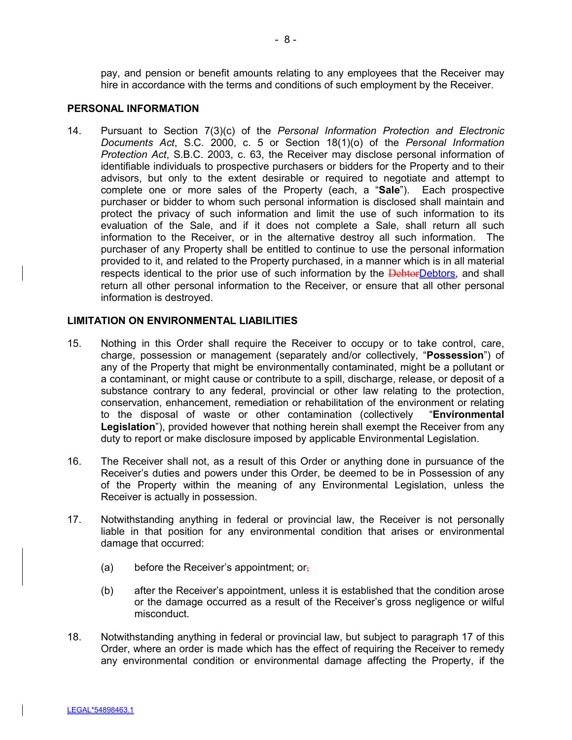pay, and pension or benefit amounts relating to any employees that the Receiver may hire in accordance with the terms and conditions of such employment by the Receiver.

#### **PERSONAL INFORMATION**

14. Pursuant to Section 7(3)(c) of the *Personal Information Protection and Electronic Documents Act*, S.C. 2000, c. 5 or Section 18(1)(o) of the *Personal Information Protection Act*, S.B.C. 2003, c. 63, the Receiver may disclose personal information of identifiable individuals to prospective purchasers or bidders for the Property and to their advisors, but only to the extent desirable or required to negotiate and attempt to complete one or more sales of the Property (each, a "**Sale**"). Each prospective purchaser or bidder to whom such personal information is disclosed shall maintain and protect the privacy of such information and limit the use of such information to its evaluation of the Sale, and if it does not complete a Sale, shall return all such information to the Receiver, or in the alternative destroy all such information. The purchaser of any Property shall be entitled to continue to use the personal information provided to it, and related to the Property purchased, in a manner which is in all material respects identical to the prior use of such information by the **DebtorDebtors**, and shall return all other personal information to the Receiver, or ensure that all other personal information is destroyed.

#### **LIMITATION ON ENVIRONMENTAL LIABILITIES**

- 15. Nothing in this Order shall require the Receiver to occupy or to take control, care, charge, possession or management (separately and/or collectively, "**Possession**") of any of the Property that might be environmentally contaminated, might be a pollutant or a contaminant, or might cause or contribute to a spill, discharge, release, or deposit of a substance contrary to any federal, provincial or other law relating to the protection, conservation, enhancement, remediation or rehabilitation of the environment or relating to the disposal of waste or other contamination (collectively "**Environmental Legislation**"), provided however that nothing herein shall exempt the Receiver from any duty to report or make disclosure imposed by applicable Environmental Legislation.
- 16. The Receiver shall not, as a result of this Order or anything done in pursuance of the Receiver's duties and powers under this Order, be deemed to be in Possession of any of the Property within the meaning of any Environmental Legislation, unless the Receiver is actually in possession.
- 17. Notwithstanding anything in federal or provincial law, the Receiver is not personally liable in that position for any environmental condition that arises or environmental damage that occurred:
	- (a) before the Receiver's appointment; or,
	- (b) after the Receiver's appointment, unless it is established that the condition arose or the damage occurred as a result of the Receiver's gross negligence or wilful misconduct.
- 18. Notwithstanding anything in federal or provincial law, but subject to paragraph 17 of this Order, where an order is made which has the effect of requiring the Receiver to remedy any environmental condition or environmental damage affecting the Property, if the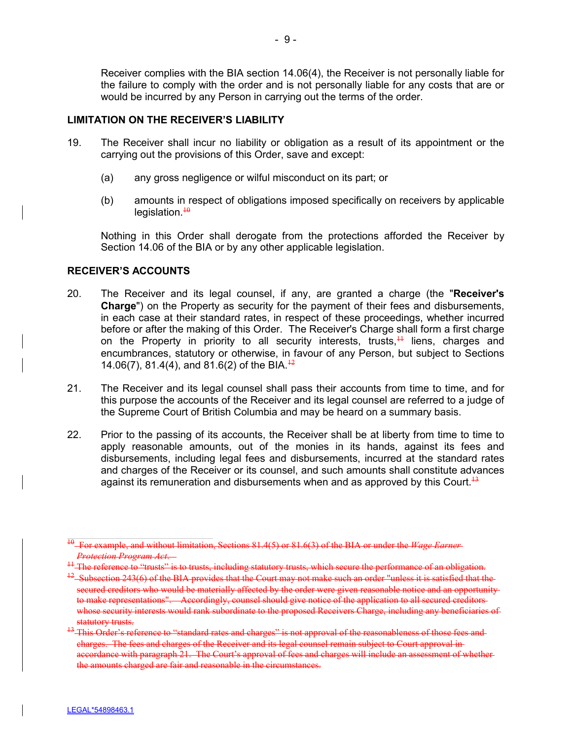Receiver complies with the BIA section 14.06(4), the Receiver is not personally liable for the failure to comply with the order and is not personally liable for any costs that are or would be incurred by any Person in carrying out the terms of the order.

#### **LIMITATION ON THE RECEIVER'S LIABILITY**

- 19. The Receiver shall incur no liability or obligation as a result of its appointment or the carrying out the provisions of this Order, save and except:
	- (a) any gross negligence or wilful misconduct on its part; or
	- (b) amounts in respect of obligations imposed specifically on receivers by applicable legislation. $\frac{10}{10}$

Nothing in this Order shall derogate from the protections afforded the Receiver by Section 14.06 of the BIA or by any other applicable legislation.

### **RECEIVER'S ACCOUNTS**

- 20. The Receiver and its legal counsel, if any, are granted a charge (the "**Receiver's Charge**") on the Property as security for the payment of their fees and disbursements, in each case at their standard rates, in respect of these proceedings, whether incurred before or after the making of this Order. The Receiver's Charge shall form a first charge on the Property in priority to all security interests, trusts, $\frac{11}{11}$  liens, charges and encumbrances, statutory or otherwise, in favour of any Person, but subject to Sections 14.06(7), 81.4(4), and 81.6(2) of the BIA.<sup> $+2$ </sup>
- 21. The Receiver and its legal counsel shall pass their accounts from time to time, and for this purpose the accounts of the Receiver and its legal counsel are referred to a judge of the Supreme Court of British Columbia and may be heard on a summary basis.
- 22. Prior to the passing of its accounts, the Receiver shall be at liberty from time to time to apply reasonable amounts, out of the monies in its hands, against its fees and disbursements, including legal fees and disbursements, incurred at the standard rates and charges of the Receiver or its counsel, and such amounts shall constitute advances against its remuneration and disbursements when and as approved by this Court.<sup>13</sup>

<sup>10</sup> For example, and without limitation, Sections 81.4(5) or 81.6(3) of the BIA or under the *Wage Earner Protection Program Act*.

<sup>&</sup>lt;sup>11</sup> The reference to "trusts" is to trusts, including statutory trusts, which secure the performance of an obligation.

<sup>&</sup>lt;sup>12</sup> Subsection 243(6) of the BIA provides that the Court may not make such an order "unless it is satisfied that the secured creditors who would be materially affected by the order were given reasonable notice and an opportunityto make representations". Accordingly, counsel should give notice of the application to all secured creditors whose security interests would rank subordinate to the proposed Receivers Charge, including any beneficiaries of statutory trusts.<br><sup>13</sup> This Order's reference to

<sup>&#</sup>x27;standard rates and charges" is not approval of the reasonableness of those fees andcharges. The fees and charges of the Receiver and its legal counsel remain subject to Court approval in accordance with paragraph 21. The Court's approval of fees and charges will include an assessment of whether the amounts charged are fair and reasonable in the circumstances.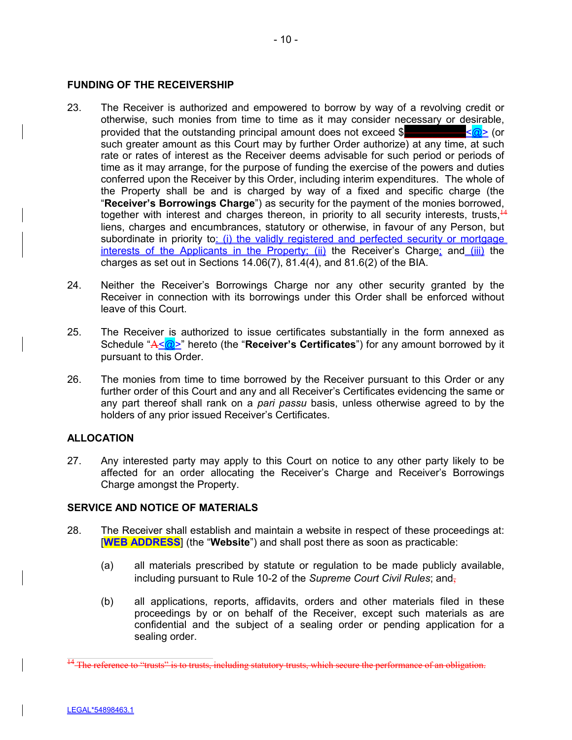#### **FUNDING OF THE RECEIVERSHIP**

- 23. The Receiver is authorized and empowered to borrow by way of a revolving credit or otherwise, such monies from time to time as it may consider necessary or desirable, provided that the outstanding principal amount does not exceed \$**\_\_\_\_\_\_\_\_\_\_\_\_**<@> (or such greater amount as this Court may by further Order authorize) at any time, at such rate or rates of interest as the Receiver deems advisable for such period or periods of time as it may arrange, for the purpose of funding the exercise of the powers and duties conferred upon the Receiver by this Order, including interim expenditures. The whole of the Property shall be and is charged by way of a fixed and specific charge (the "**Receiver's Borrowings Charge**") as security for the payment of the monies borrowed, together with interest and charges thereon, in priority to all security interests, trusts,  $^{14}$ liens, charges and encumbrances, statutory or otherwise, in favour of any Person, but subordinate in priority to: (i) the validly registered and perfected security or mortgage interests of the Applicants in the Property; (ii) the Receiver's Charge; and (iii) the charges as set out in Sections 14.06(7),  $81.4(4)$ , and  $81.6(2)$  of the BIA.
- 24. Neither the Receiver's Borrowings Charge nor any other security granted by the Receiver in connection with its borrowings under this Order shall be enforced without leave of this Court.
- 25. The Receiver is authorized to issue certificates substantially in the form annexed as Schedule "A<@>" hereto (the "**Receiver's Certificates**") for any amount borrowed by it pursuant to this Order.
- 26. The monies from time to time borrowed by the Receiver pursuant to this Order or any further order of this Court and any and all Receiver's Certificates evidencing the same or any part thereof shall rank on a *pari passu* basis, unless otherwise agreed to by the holders of any prior issued Receiver's Certificates.

### **ALLOCATION**

27. Any interested party may apply to this Court on notice to any other party likely to be affected for an order allocating the Receiver's Charge and Receiver's Borrowings Charge amongst the Property.

### **SERVICE AND NOTICE OF MATERIALS**

- 28. The Receiver shall establish and maintain a website in respect of these proceedings at: [**WEB ADDRESS**] (the "**Website**") and shall post there as soon as practicable:
	- (a) all materials prescribed by statute or regulation to be made publicly available, including pursuant to Rule 10-2 of the *Supreme Court Civil Rules*; and,
	- (b) all applications, reports, affidavits, orders and other materials filed in these proceedings by or on behalf of the Receiver, except such materials as are confidential and the subject of a sealing order or pending application for a sealing order.

<sup>&</sup>lt;sup>14</sup> The reference to "trusts" is to trusts, including statutory trusts, which secure the performance of an obligation.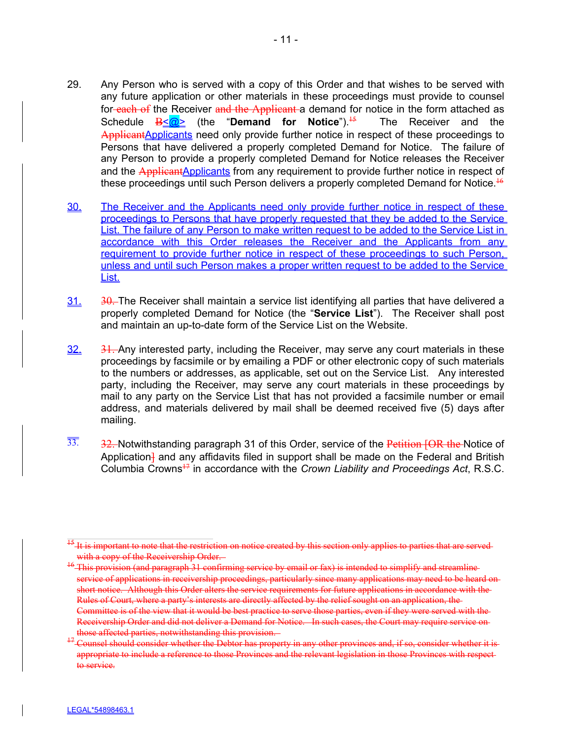- 29. Any Person who is served with a copy of this Order and that wishes to be served with any future application or other materials in these proceedings must provide to counsel for-each of the Receiver and the Applicant a demand for notice in the form attached as Schedule  $B \leq 2$  (the "**Demand for Notice**").<sup>15</sup> The Receiver and the ApplicantApplicants need only provide further notice in respect of these proceedings to Persons that have delivered a properly completed Demand for Notice. The failure of any Person to provide a properly completed Demand for Notice releases the Receiver and the ApplicantApplicants from any requirement to provide further notice in respect of these proceedings until such Person delivers a properly completed Demand for Notice. $^{16}$
- 30. The Receiver and the Applicants need only provide further notice in respect of these proceedings to Persons that have properly requested that they be added to the Service List. The failure of any Person to make written request to be added to the Service List in accordance with this Order releases the Receiver and the Applicants from any requirement to provide further notice in respect of these proceedings to such Person, unless and until such Person makes a proper written request to be added to the Service List.
- $31.$  30. The Receiver shall maintain a service list identifying all parties that have delivered a properly completed Demand for Notice (the "**Service List**"). The Receiver shall post and maintain an up-to-date form of the Service List on the Website.
- $32.$   $31.$  Any interested party, including the Receiver, may serve any court materials in these proceedings by facsimile or by emailing a PDF or other electronic copy of such materials to the numbers or addresses, as applicable, set out on the Service List. Any interested party, including the Receiver, may serve any court materials in these proceedings by mail to any party on the Service List that has not provided a facsimile number or email address, and materials delivered by mail shall be deemed received five (5) days after mailing.
- $\overline{33}$ . 32. Notwithstanding paragraph 31 of this Order, service of the Petition [OR the Notice of Application<sup>1</sup> and any affidavits filed in support shall be made on the Federal and British Columbia Crowns<sup>17</sup> in accordance with the *Crown Liability and Proceedings Act*, R.S.C.

<sup>&</sup>lt;sup>15</sup> It is important to note that the restriction on notice created by this section only applies to parties that are servedwith a copy of the Receivership Order.

<sup>&</sup>lt;sup>16</sup> This provision (and paragraph 31 confirming service by email or fax) is intended to simplify and streamline service of applications in receivership proceedings, particularly since many applications may need to be heard on short notice. Although this Order alters the service requirements for future applications in accordance with the Rules of Court, where a party's interests are directly affected by the relief sought on an application, the Committee is of the view that it would be best practice to serve those parties, even if they were served with the Receivership Order and did not deliver a Demand for Notice. In such cases, the Court may require service on those affected parties, notwithstanding this provision.

<sup>&</sup>lt;sup>1</sup> Counsel should consider whether the Debtor has property in any other provinces and, if so, consider whether it isappropriate to include a reference to those Provinces and the relevant legislation in those Provinces with respect to service.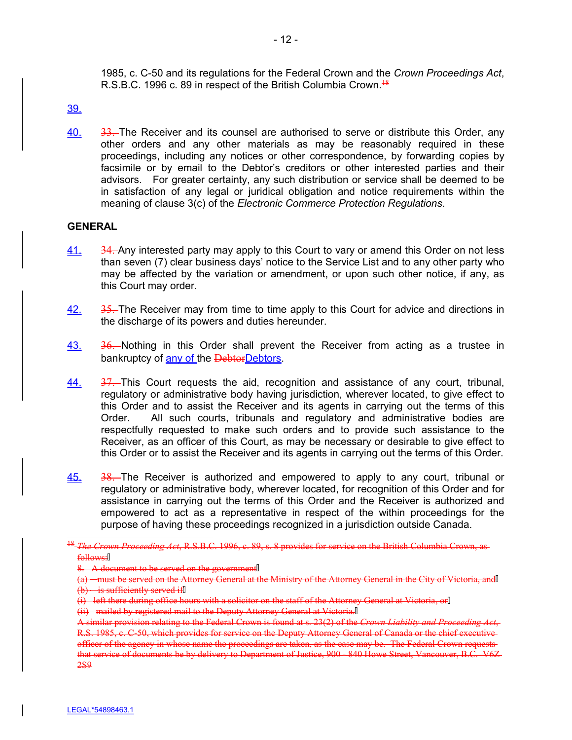1985, c. C-50 and its regulations for the Federal Crown and the *Crown Proceedings Act*, R.S.B.C. 1996 c. 89 in respect of the British Columbia Crown.<sup>18</sup>

## 39.

40. 33. The Receiver and its counsel are authorised to serve or distribute this Order, any other orders and any other materials as may be reasonably required in these proceedings, including any notices or other correspondence, by forwarding copies by facsimile or by email to the Debtor's creditors or other interested parties and their advisors. For greater certainty, any such distribution or service shall be deemed to be in satisfaction of any legal or juridical obligation and notice requirements within the meaning of clause 3(c) of the *Electronic Commerce Protection Regulations*.

### **GENERAL**

- 41. 34. Any interested party may apply to this Court to vary or amend this Order on not less than seven (7) clear business days' notice to the Service List and to any other party who may be affected by the variation or amendment, or upon such other notice, if any, as this Court may order.
- 42. 35. The Receiver may from time to time apply to this Court for advice and directions in the discharge of its powers and duties hereunder.
- 43. 36. Nothing in this Order shall prevent the Receiver from acting as a trustee in bankruptcy of any of the DebtorDebtors.
- 44. 37. This Court requests the aid, recognition and assistance of any court, tribunal, regulatory or administrative body having jurisdiction, wherever located, to give effect to this Order and to assist the Receiver and its agents in carrying out the terms of this Order. All such courts, tribunals and regulatory and administrative bodies are respectfully requested to make such orders and to provide such assistance to the Receiver, as an officer of this Court, as may be necessary or desirable to give effect to this Order or to assist the Receiver and its agents in carrying out the terms of this Order.
- $\underline{45.}$  38. The Receiver is authorized and empowered to apply to any court, tribunal or regulatory or administrative body, wherever located, for recognition of this Order and for assistance in carrying out the terms of this Order and the Receiver is authorized and empowered to act as a representative in respect of the within proceedings for the purpose of having these proceedings recognized in a jurisdiction outside Canada.

- (i) left there during office hours with a solicitor on the staff of the Attorney General at Victoria, or
- (ii) mailed by registered mail to the Deputy Attorney General at Victoria.

<sup>18</sup> *The Crown Proceeding Act*, R.S.B.C. 1996, c. 89, s. 8 provides for service on the British Columbia Crown, as follows:

<sup>8.</sup> A document to be served on the government

<sup>(</sup>a) must be served on the Attorney General at the Ministry of the Attorney General in the City of Victoria, and  $(b)$  is sufficiently served if

A similar provision relating to the Federal Crown is found at s. 23(2) of the *Crown Liability and Proceeding Act*, R.S. 1985, c. C-50, which provides for service on the Deputy Attorney General of Canada or the chief executive officer of the agency in whose name the proceedings are taken, as the case may be. The Federal Crown requests that service of documents be by delivery to Department of Justice, 900 - 840 Howe Street, Vancouver, B.C. V6Z-2S9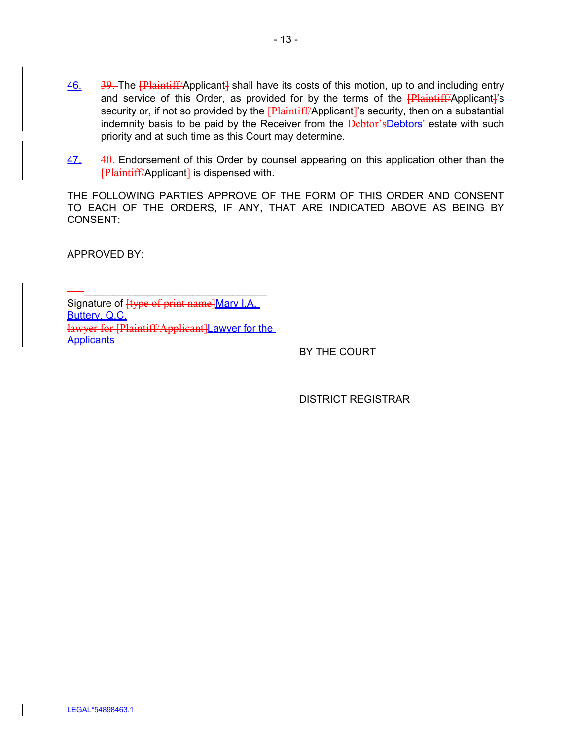- $\frac{46.}{9}$  39. The  $\frac{1}{2}$  Plaintiff/Applicant shall have its costs of this motion, up to and including entry and service of this Order, as provided for by the terms of the  $\frac{[Plaintiff/Applicant]}{s}$ security or, if not so provided by the **[Plaintiff/**Applicant]'s security, then on a substantial indemnity basis to be paid by the Receiver from the **Debtor'sDebtors'** estate with such priority and at such time as this Court may determine.
- 47. 40. Endorsement of this Order by counsel appearing on this application other than the  $F$ Plaintiff/Applicant<sup>1</sup> is dispensed with.

THE FOLLOWING PARTIES APPROVE OF THE FORM OF THIS ORDER AND CONSENT TO EACH OF THE ORDERS, IF ANY, THAT ARE INDICATED ABOVE AS BEING BY CONSENT:

APPROVED BY:

 $\longrightarrow$  , and the set of the set of the set of the set of the set of the set of the set of the set of the set of the set of the set of the set of the set of the set of the set of the set of the set of the set of the set of t Signature of **[type of print name]Mary I.A.** Buttery, Q.C. lawyer for [Plaintiff/Applicant]Lawyer for the **Applicants** 

BY THE COURT

DISTRICT REGISTRAR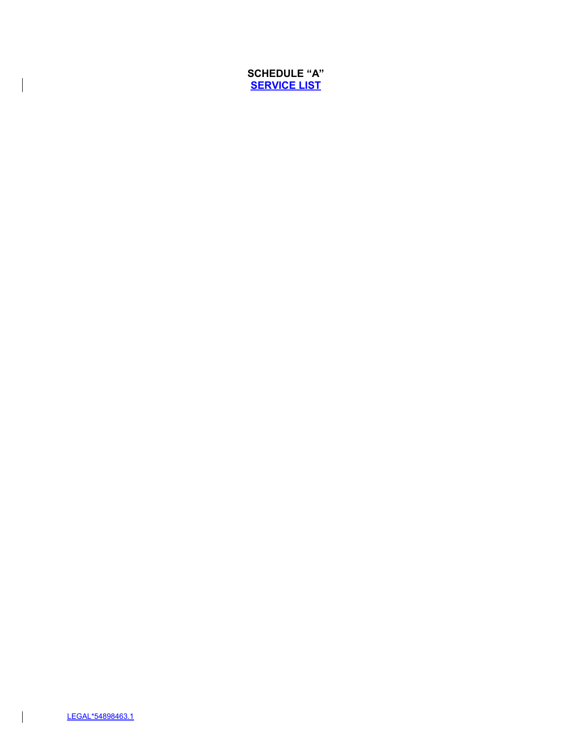# **SCHEDULE "A" SERVICE LIST**

 $\vert$ 

 $\overline{\phantom{a}}$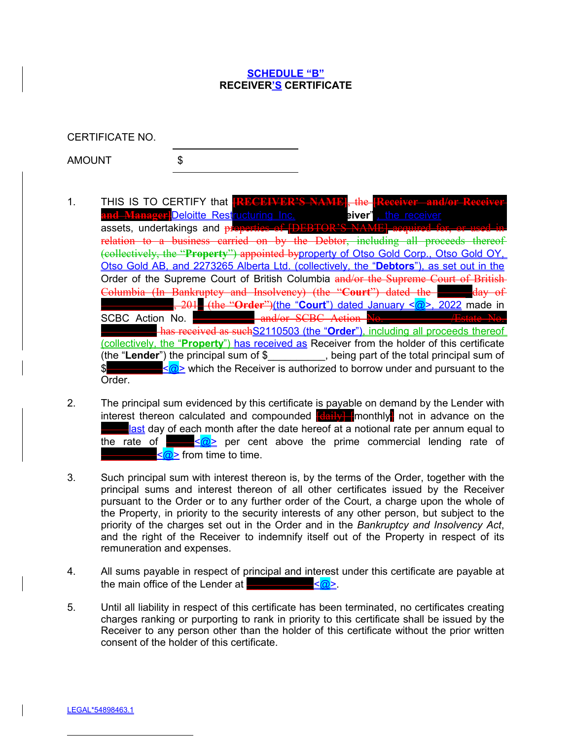### **SCHEDULE "B" RECEIVER'S CERTIFICATE**

CERTIFICATE NO.

AMOUNT \$

- 1. THIS IS TO CERTIFY that and Manager]<mark>Deloitte Rest</mark>ructuring Inc. (the "piver"), the receiver<br>ossets undertakings and properties of IDEBTOR'S NAMEL acquired fo assets, undertakings and  $p$ relation to a business carried on by the Debtor, including all proceeds thereof (collectively, the "**Property**") appointed byproperty of Otso Gold Corp., Otso Gold OY, Otso Gold AB, and 2273265 Alberta Ltd. (collectively, the "**Debtors**"), as set out in the Order of the Supreme Court of British Columbia and/or the Supreme Court of British Columbia (In Bankruptey and Insolvency) (the "Court") dated the **\_\_\_\_\_\_\_\_\_\_\_\_\_**, 201**\_** (the "**Order**")(the "**Court**") dated January <@>, 2022 made in SCBC Action No. **\_\_\_\_\_\_\_\_\_\_\_** and/or SCBC Action No. has received as suchS2110503 (the "**Order**"), including all proceeds thereof (collectively, the "**Property**") has received as Receiver from the holder of this certificate (the "**Lender**") the principal sum of \$\_\_\_\_\_\_\_\_\_\_, being part of the total principal sum of \$**ALCOM**  $\leq$   $\frac{1}{\omega}$  which the Receiver is authorized to borrow under and pursuant to the Order.
- 2. The principal sum evidenced by this certificate is payable on demand by the Lender with interest thereon calculated and compounded **[daily]** monthly not in advance on the **ast day of each month after the date hereof at a notional rate per annum equal to** the rate of *z*  $\frac{1}{2}$  per cent above the prime commercial lending rate of **<u><</u>@>** from time to time.
- 3. Such principal sum with interest thereon is, by the terms of the Order, together with the principal sums and interest thereon of all other certificates issued by the Receiver pursuant to the Order or to any further order of the Court, a charge upon the whole of the Property, in priority to the security interests of any other person, but subject to the priority of the charges set out in the Order and in the *Bankruptcy and Insolvency Act*, and the right of the Receiver to indemnify itself out of the Property in respect of its remuneration and expenses.
- 4. All sums payable in respect of principal and interest under this certificate are payable at the main office of the Lender at **\_\_\_\_\_\_\_\_\_\_\_\_**<@>.
- 5. Until all liability in respect of this certificate has been terminated, no certificates creating charges ranking or purporting to rank in priority to this certificate shall be issued by the Receiver to any person other than the holder of this certificate without the prior written consent of the holder of this certificate.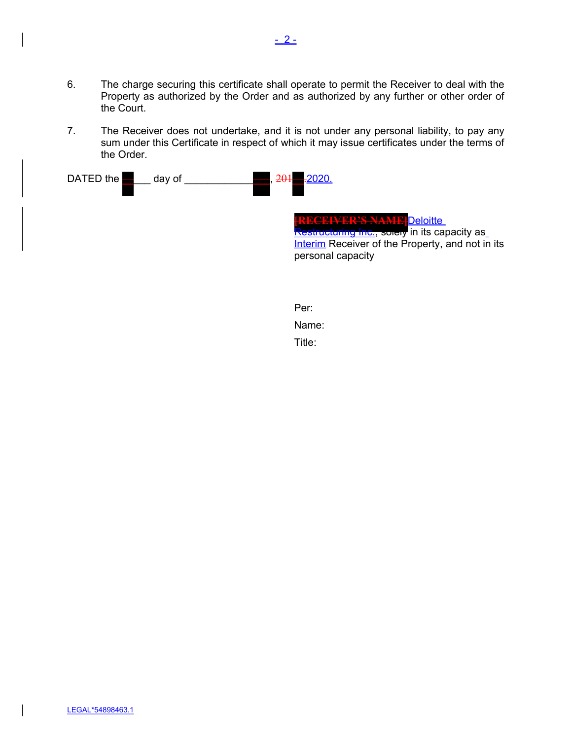- 6. The charge securing this certificate shall operate to permit the Receiver to deal with the Property as authorized by the Order and as authorized by any further or other order of the Court.
- 7. The Receiver does not undertake, and it is not under any personal liability, to pay any sum under this Certificate in respect of which it may issue certificates under the terms of the Order.

| DATED the<br>day of | 201<br><del>.2</del> 020                                                                                                                                                     |
|---------------------|------------------------------------------------------------------------------------------------------------------------------------------------------------------------------|
|                     | <u>VURS NAME</u><br><b>Deloitte</b><br><mark>testructuring_Inc.</mark> , solely in its capacity as_<br>Interim Receiver of the Property, and not in its<br>personal capacity |
|                     | Per:                                                                                                                                                                         |
|                     | Name:                                                                                                                                                                        |

Title: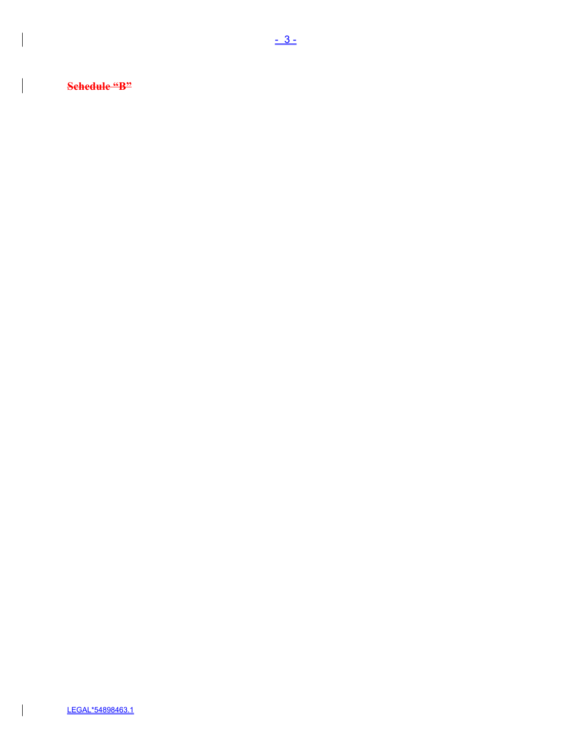**Schedule "B"**

 $\bigg| \hspace{0.1 cm}$ 

 $\begin{array}{c} \hline \end{array}$ 

 $\overline{\phantom{a}}$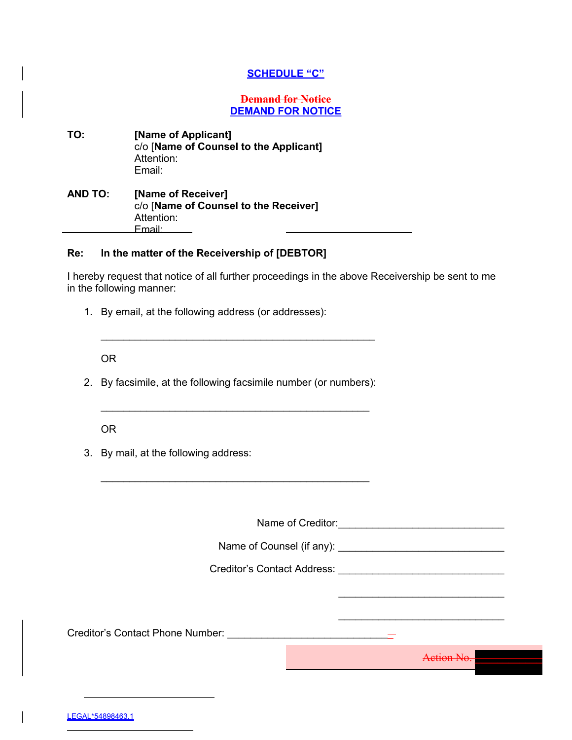### **SCHEDULE "C"**

#### **Demand for Notice DEMAND FOR NOTICE**

| TO:            | [Name of Applicant]<br>c/o [Name of Counsel to the Applicant]<br>Attention:<br>Email: |  |
|----------------|---------------------------------------------------------------------------------------|--|
| <b>AND TO:</b> | [Name of Receiver]                                                                    |  |

# c/o [**Name of Counsel to the Receiver]** Attention: Email:

# **Re: In the matter of the Receivership of [DEBTOR]**

I hereby request that notice of all further proceedings in the above Receivership be sent to me in the following manner:

1. By email, at the following address (or addresses):

OR

2. By facsimile, at the following facsimile number (or numbers):

 $\mathcal{L}_\text{max}$  and  $\mathcal{L}_\text{max}$  and  $\mathcal{L}_\text{max}$  and  $\mathcal{L}_\text{max}$  and  $\mathcal{L}_\text{max}$ 

 $\mathcal{L}_\text{max}$  and  $\mathcal{L}_\text{max}$  and  $\mathcal{L}_\text{max}$  and  $\mathcal{L}_\text{max}$  and  $\mathcal{L}_\text{max}$ 

OR

3. By mail, at the following address:

Name of Creditor:\_\_\_\_\_\_\_\_\_\_\_\_\_\_\_\_\_\_\_\_\_\_\_\_\_\_\_\_\_

Name of Counsel (if any):

Creditor's Contact Address: \_\_\_\_\_\_\_\_\_\_\_\_\_\_\_\_\_\_\_\_\_\_\_\_\_\_\_\_\_

Creditor's Contact Phone Number: **Example 20** 

Action No. **\_\_\_\_\_\_\_\_\_\_\_\_**

 $\mathcal{L}_\text{max}$  , where  $\mathcal{L}_\text{max}$  and  $\mathcal{L}_\text{max}$  and  $\mathcal{L}_\text{max}$ 

 $\_$ 

LEGAL\*54898463.1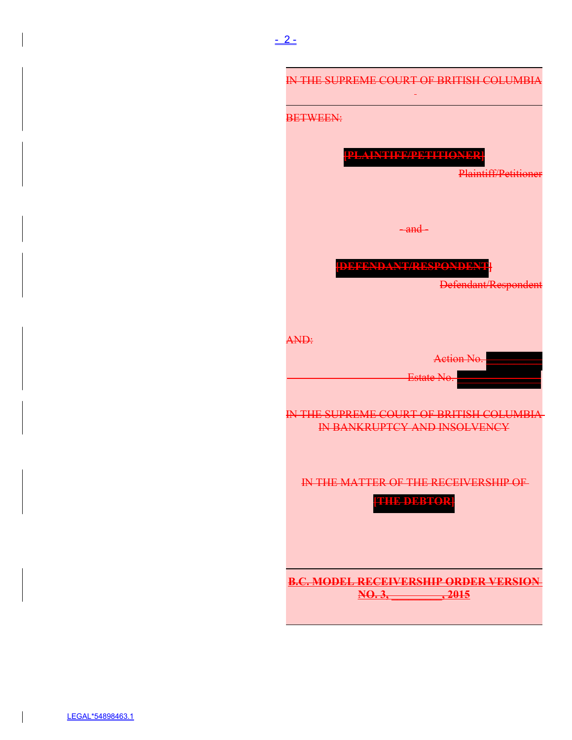